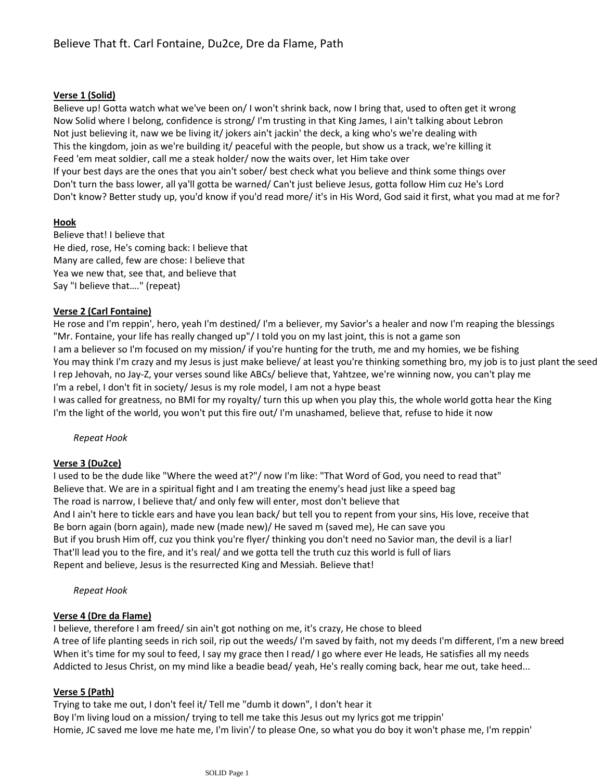## **Verse 1 (Solid)**

Believe up! Gotta watch what we've been on/ I won't shrink back, now I bring that, used to often get it wrong Now Solid where I belong, confidence is strong/ I'm trusting in that King James, I ain't talking about Lebron Not just believing it, naw we be living it/ jokers ain't jackin' the deck, a king who's we're dealing with This the kingdom, join as we're building it/ peaceful with the people, but show us a track, we're killing it Feed 'em meat soldier, call me a steak holder/ now the waits over, let Him take over If your best days are the ones that you ain't sober/ best check what you believe and think some things over Don't turn the bass lower, all ya'll gotta be warned/ Can't just believe Jesus, gotta follow Him cuz He's Lord Don't know? Better study up, you'd know if you'd read more/ it's in His Word, God said it first, what you mad at me for?

### **Hook**

Believe that! I believe that He died, rose, He's coming back: I believe that Many are called, few are chose: I believe that Yea we new that, see that, and believe that Say "I believe that…." (repeat)

# **Verse 2 (Carl Fontaine)**

He rose and I'm reppin', hero, yeah I'm destined/ I'm a believer, my Savior's a healer and now I'm reaping the blessings "Mr. Fontaine, your life has really changed up"/ I told you on my last joint, this is not a game son I am a believer so I'm focused on my mission/ if you're hunting for the truth, me and my homies, we be fishing You may think I'm crazy and my Jesus is just make believe/ at least you're thinking something bro, my job is to just plant the seed I rep Jehovah, no Jay-Z, your verses sound like ABCs/ believe that, Yahtzee, we're winning now, you can't play me I'm a rebel, I don't fit in society/ Jesus is my role model, I am not a hype beast

I was called for greatness, no BMI for my royalty/ turn this up when you play this, the whole world gotta hear the King I'm the light of the world, you won't put this fire out/ I'm unashamed, believe that, refuse to hide it now

### *Repeat Hook*

### **Verse 3 (Du2ce)**

I used to be the dude like "Where the weed at?"/ now I'm like: "That Word of God, you need to read that" Believe that. We are in a spiritual fight and I am treating the enemy's head just like a speed bag The road is narrow, I believe that/ and only few will enter, most don't believe that And I ain't here to tickle ears and have you lean back/ but tell you to repent from your sins, His love, receive that Be born again (born again), made new (made new)/ He saved m (saved me), He can save you But if you brush Him off, cuz you think you're flyer/ thinking you don't need no Savior man, the devil is a liar! That'll lead you to the fire, and it's real/ and we gotta tell the truth cuz this world is full of liars Repent and believe, Jesus is the resurrected King and Messiah. Believe that!

#### *Repeat Hook*

### **Verse 4 (Dre da Flame)**

I believe, therefore I am freed/ sin ain't got nothing on me, it's crazy, He chose to bleed A tree of life planting seeds in rich soil, rip out the weeds/ I'm saved by faith, not my deeds I'm different, I'm a new breed When it's time for my soul to feed, I say my grace then I read/ I go where ever He leads, He satisfies all my needs Addicted to Jesus Christ, on my mind like a beadie bead/ yeah, He's really coming back, hear me out, take heed...

### **Verse 5 (Path)**

Trying to take me out, I don't feel it/ Tell me "dumb it down", I don't hear it Boy I'm living loud on a mission/ trying to tell me take this Jesus out my lyrics got me trippin' Homie, JC saved me love me hate me, I'm livin'/ to please One, so what you do boy it won't phase me, I'm reppin'